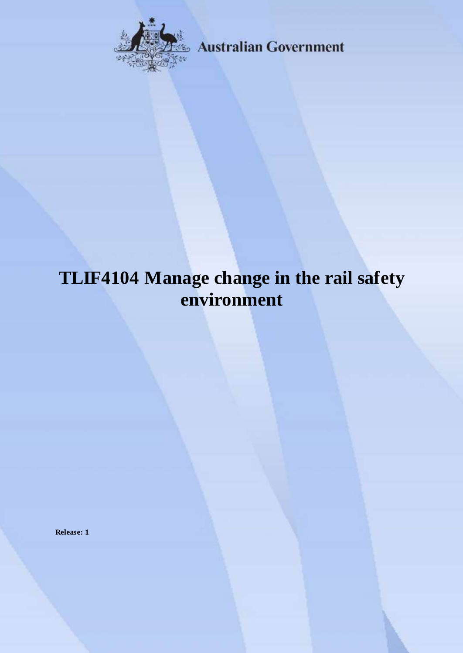

**Australian Government** 

# **TLIF4104 Manage change in the rail safety environment**

**Release: 1**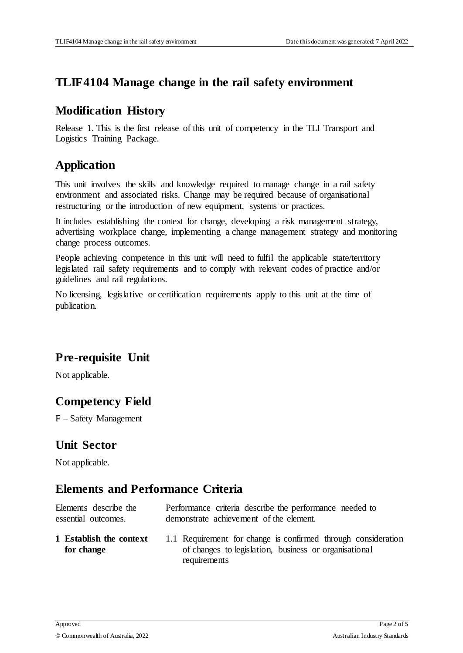### **TLIF4104 Manage change in the rail safety environment**

#### **Modification History**

Release 1. This is the first release of this unit of competency in the TLI Transport and Logistics Training Package.

## **Application**

This unit involves the skills and knowledge required to manage change in a rail safety environment and associated risks. Change may be required because of organisational restructuring or the introduction of new equipment, systems or practices.

It includes establishing the context for change, developing a risk management strategy, advertising workplace change, implementing a change management strategy and monitoring change process outcomes.

People achieving competence in this unit will need to fulfil the applicable state/territory legislated rail safety requirements and to comply with relevant codes of practice and/or guidelines and rail regulations.

No licensing, legislative or certification requirements apply to this unit at the time of publication.

## **Pre-requisite Unit**

Not applicable.

## **Competency Field**

F – Safety Management

#### **Unit Sector**

Not applicable.

## **Elements and Performance Criteria**

| Elements describe the                 | Performance criteria describe the performance needed to                                                                |
|---------------------------------------|------------------------------------------------------------------------------------------------------------------------|
| essential outcomes.                   | demonstrate achievement of the element.                                                                                |
| 1 Establish the context<br>for change | 1.1 Requirement for change is confirmed through consideration<br>of changes to legislation, business or organisational |

requirements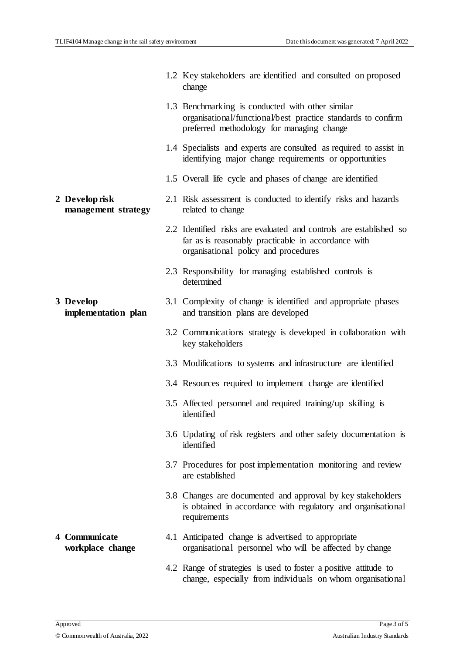|                                       | 1.2 Key stakeholders are identified and consulted on proposed<br>change                                                                                           |
|---------------------------------------|-------------------------------------------------------------------------------------------------------------------------------------------------------------------|
|                                       | 1.3 Benchmarking is conducted with other similar<br>organisational/functional/best practice standards to confirm<br>preferred methodology for managing change     |
|                                       | 1.4 Specialists and experts are consulted as required to assist in<br>identifying major change requirements or opportunities                                      |
|                                       | 1.5 Overall life cycle and phases of change are identified                                                                                                        |
| 2 Develop risk<br>management strategy | 2.1 Risk assessment is conducted to identify risks and hazards<br>related to change                                                                               |
|                                       | 2.2 Identified risks are evaluated and controls are established so<br>far as is reasonably practicable in accordance with<br>organisational policy and procedures |
|                                       | 2.3 Responsibility for managing established controls is<br>determined                                                                                             |
| 3 Develop<br>implementation plan      | 3.1 Complexity of change is identified and appropriate phases<br>and transition plans are developed                                                               |
|                                       | 3.2 Communications strategy is developed in collaboration with<br>key stakeholders                                                                                |
|                                       | 3.3 Modifications to systems and infrastructure are identified                                                                                                    |
|                                       | 3.4 Resources required to implement change are identified                                                                                                         |
|                                       | 3.5 Affected personnel and required training/up skilling is<br>identified                                                                                         |
|                                       | 3.6 Updating of risk registers and other safety documentation is<br>identified                                                                                    |
|                                       | 3.7 Procedures for post implementation monitoring and review<br>are established                                                                                   |
|                                       | 3.8 Changes are documented and approval by key stakeholders<br>is obtained in accordance with regulatory and organisational<br>requirements                       |
| 4 Communicate<br>workplace change     | 4.1 Anticipated change is advertised to appropriate<br>organisational personnel who will be affected by change                                                    |
|                                       | 4.2 Range of strategies is used to foster a positive attitude to<br>change, especially from individuals on whom organisational                                    |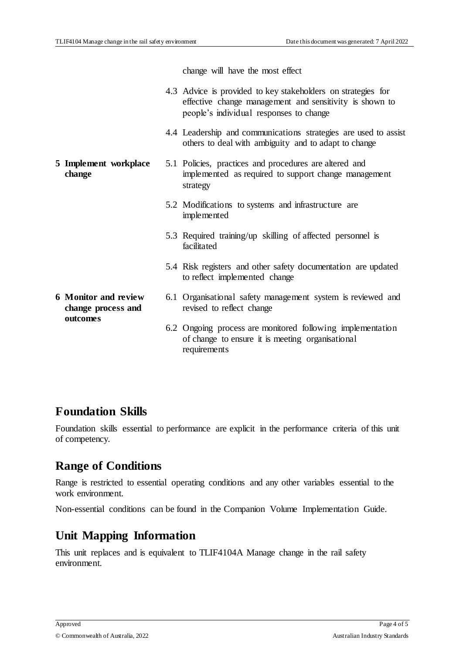change will have the most effect

|                                                   | 4.3 Advice is provided to key stakeholders on strategies for<br>effective change management and sensitivity is shown to<br>people's individual responses to change |
|---------------------------------------------------|--------------------------------------------------------------------------------------------------------------------------------------------------------------------|
|                                                   | 4.4 Leadership and communications strategies are used to assist<br>others to deal with ambiguity and to adapt to change                                            |
| 5 Implement workplace<br>change                   | 5.1 Policies, practices and procedures are altered and<br>implemented as required to support change management<br>strategy                                         |
|                                                   | 5.2 Modifications to systems and infrastructure are<br>implemented                                                                                                 |
|                                                   | 5.3 Required training/up skilling of affected personnel is<br>facilitated                                                                                          |
|                                                   | 5.4 Risk registers and other safety documentation are updated<br>to reflect implemented change                                                                     |
| <b>6 Monitor and review</b><br>change process and | 6.1 Organisational safety management system is reviewed and<br>revised to reflect change                                                                           |
| outcomes                                          | 6.2 Ongoing process are monitored following implementation<br>of change to ensure it is meeting organisational<br>requirements                                     |

#### **Foundation Skills**

Foundation skills essential to performance are explicit in the performance criteria of this unit of competency.

#### **Range of Conditions**

Range is restricted to essential operating conditions and any other variables essential to the work environment.

Non-essential conditions can be found in the Companion Volume Implementation Guide.

## **Unit Mapping Information**

This unit replaces and is equivalent to TLIF4104A Manage change in the rail safety environment.